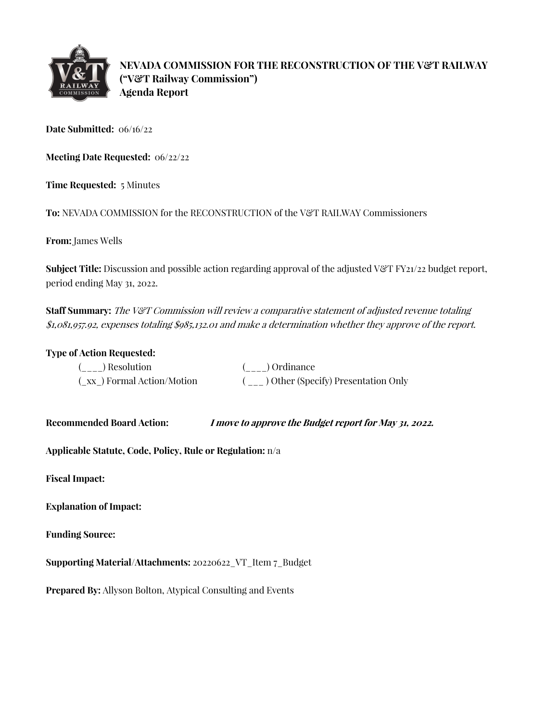

**NEVADA COMMISSION FOR THE RECONSTRUCTION OF THE V&T RAILWAY ("V&T Railway Commission") Agenda Report**

**Date Submitted:** 06/16/22

**Meeting Date Requested:** 06/22/22

**Time Requested:** 5 Minutes

**To:** NEVADA COMMISSION for the RECONSTRUCTION of the V&T RAILWAY Commissioners

**From:** James Wells

**Subject Title:** Discussion and possible action regarding approval of the adjusted V&T FY21/22 budget report, period ending May 31, 2022.

**Staff Summary:** The V&T Commission will review a comparative statement of adjusted revenue totaling \$1,081,957.92, expenses totaling \$985,132.01 and make a determination whether they approve of the report.

## **Type of Action Requested:**

| ( ) Resolution            | ( ) Ordinance                         |
|---------------------------|---------------------------------------|
| (xx) Formal Action/Motion | ( ) Other (Specify) Presentation Only |

**Recommended Board Action: I move to approve the Budget report for May 31, 2022.** 

**Applicable Statute, Code, Policy, Rule or Regulation:** n/a

**Fiscal Impact:**

**Explanation of Impact:**

**Funding Source:**

**Supporting Material/Attachments:** 20220622\_VT\_Item 7\_Budget

**Prepared By:** Allyson Bolton, Atypical Consulting and Events